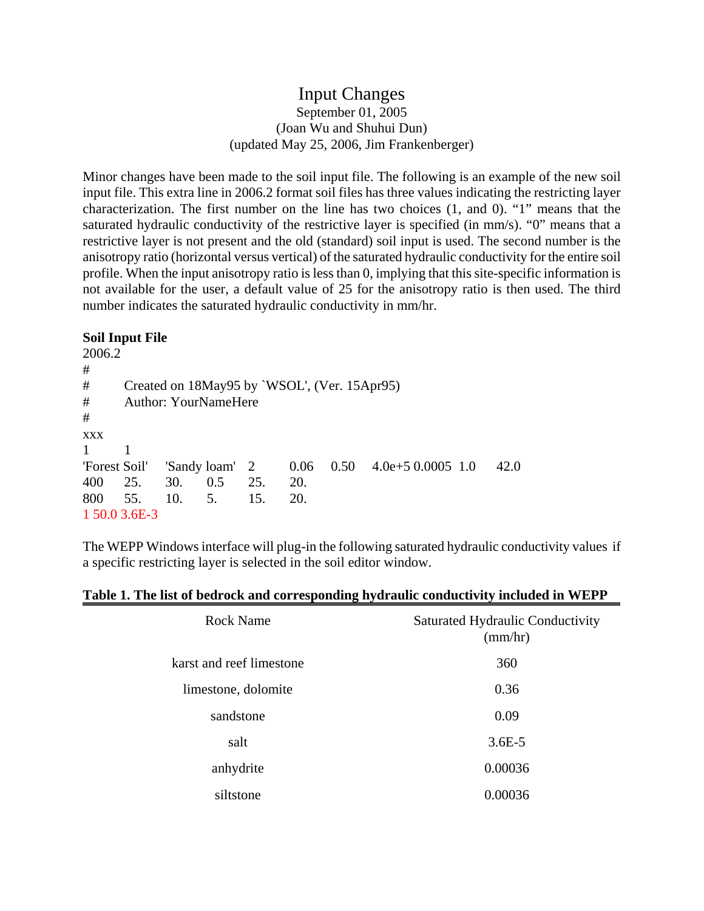## Input Changes September 01, 2005 (Joan Wu and Shuhui Dun) (updated May 25, 2006, Jim Frankenberger)

Minor changes have been made to the soil input file. The following is an example of the new soil input file. This extra line in 2006.2 format soil files has three values indicating the restricting layer characterization. The first number on the line has two choices (1, and 0). "1" means that the saturated hydraulic conductivity of the restrictive layer is specified (in mm/s). "0" means that a restrictive layer is not present and the old (standard) soil input is used. The second number is the anisotropy ratio (horizontal versus vertical) of the saturated hydraulic conductivity for the entire soil profile. When the input anisotropy ratio is less than 0, implying that this site-specific information is not available for the user, a default value of 25 for the anisotropy ratio is then used. The third number indicates the saturated hydraulic conductivity in mm/hr.

## **Soil Input File**

| 2006.2        |                                              |     |                |     |      |  |                                              |  |      |  |
|---------------|----------------------------------------------|-----|----------------|-----|------|--|----------------------------------------------|--|------|--|
| #             |                                              |     |                |     |      |  |                                              |  |      |  |
| #             | Created on 18May95 by `WSOL', (Ver. 15Apr95) |     |                |     |      |  |                                              |  |      |  |
| #             | <b>Author: YourNameHere</b>                  |     |                |     |      |  |                                              |  |      |  |
| #             |                                              |     |                |     |      |  |                                              |  |      |  |
| <b>XXX</b>    |                                              |     |                |     |      |  |                                              |  |      |  |
| 1             |                                              |     |                |     |      |  |                                              |  |      |  |
| 'Forest Soil' |                                              |     | 'Sandy loam' 2 |     | 0.06 |  | $0.50 \quad 4.0e + 5 \quad 0.0005 \quad 1.0$ |  | 42.0 |  |
| 400           | 25.                                          | 30. | 0.5            | 25. | 20.  |  |                                              |  |      |  |
| 800 55.       |                                              | 10. | 5.             | 15. | 20.  |  |                                              |  |      |  |
|               | 1 50.0 3.6E-3                                |     |                |     |      |  |                                              |  |      |  |

The WEPP Windows interface will plug-in the following saturated hydraulic conductivity values if a specific restricting layer is selected in the soil editor window.

| <b>Rock Name</b>         | <b>Saturated Hydraulic Conductivity</b><br>(mm/hr) |
|--------------------------|----------------------------------------------------|
| karst and reef limestone | 360                                                |
| limestone, dolomite      | 0.36                                               |
| sandstone                | 0.09                                               |
| salt                     | $3.6E - 5$                                         |
| anhydrite                | 0.00036                                            |
| siltstone                | 0.00036                                            |

## **Table 1. The list of bedrock and corresponding hydraulic conductivity included in WEPP**